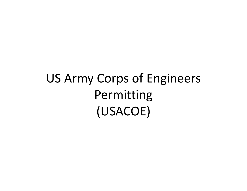US Army Corps of Engineers Permitting (USACOE)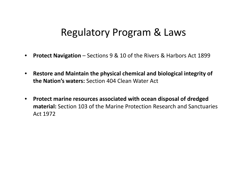## Regulatory Program & Laws

- **Protect Navigation** Sections 9 & 10 of the Rivers & Harbors Act 1899
- **Restore and Maintain the physical chemical and biological integrity of the Nation's waters:** Section 404 Clean Water Act
- **Protect marine resources associated with ocean disposal of dredged material:** Section 103 of the Marine Protection Research and Sanctuaries Act 1972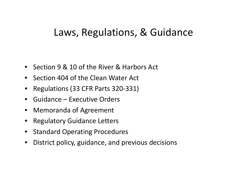#### Laws, Regulations, & Guidance

- Section 9 & 10 of the River & Harbors Act
- Section 404 of the Clean Water Act
- Regulations (33 CFR Parts 320-331)
- Guidance Executive Orders
- Memoranda of Agreement
- **Regulatory Guidance Letters**
- Standard Operating Procedures
- District policy, guidance, and previous decisions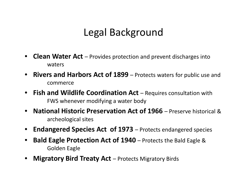## Legal Background

- **Clean Water Act** Provides protection and prevent discharges into waters
- **Rivers and Harbors Act of 1899** Protects waters for public use and commerce
- **Fish and Wildlife Coordination Act** Requires consultation with FWS whenever modifying a water body
- **National Historic Preservation Act of 1966** Preserve historical & archeological sites
- **Endangered Species Act of 1973** Protects endangered species
- **Bald Eagle Protection Act of 1940** Protects the Bald Eagle & Golden Eagle
- **Migratory Bird Treaty Act** Protects Migratory Birds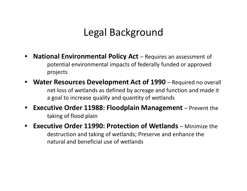## Legal Background

- **National Environmental Policy Act** Requires an assessment of potential environmental impacts of federally funded or approved projects
- **Water Resources Development Act of 1990** Required no overall net loss of wetlands as defined by acreage and function and made it a goal to increase quality and quantity of wetlands
- **Executive Order 11988: Floodplain Management** Prevent the taking of flood plain
- **Executive Order 11990: Protection of Wetlands** Minimize the destruction and taking of wetlands; Preserve and enhance the natural and beneficial use of wetlands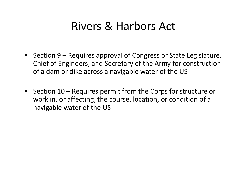## Rivers & Harbors Act

- Section 9 Requires approval of Congress or State Legislature, Chief of Engineers, and Secretary of the Army for construction of a dam or dike across a navigable water of the US
- Section 10 Requires permit from the Corps for structure or work in, or affecting, the course, location, or condition of a navigable water of the US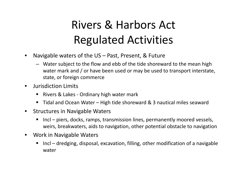## Rivers & Harbors Act Regulated Activities

- Navigable waters of the US Past, Present, & Future
	- Water subject to the flow and ebb of the tide shoreward to the mean high water mark and / or have been used or may be used to transport interstate, state, or foreign commerce
- Jurisdiction Limits
	- Rivers & Lakes Ordinary high water mark
	- Tidal and Ocean Water High tide shoreward & 3 nautical miles seaward
- Structures in Navigable Waters
	- Incl piers, docks, ramps, transmission lines, permanently moored vessels, weirs, breakwaters, aids to navigation, other potential obstacle to navigation
- Work in Navigable Waters
	- Incl dredging, disposal, excavation, filling, other modification of a navigable water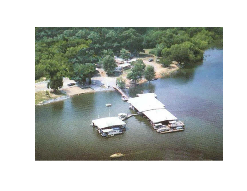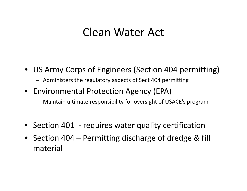## Clean Water Act

- US Army Corps of Engineers (Section 404 permitting)
	- Administers the regulatory aspects of Sect 404 permitting
- Environmental Protection Agency (EPA)
	- Maintain ultimate responsibility for oversight of USACE's program
- Section 401 requires water quality certification
- Section 404 Permitting discharge of dredge & fill material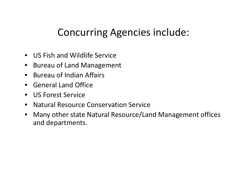## Concurring Agencies include:

- US Fish and Wildlife Service
- Bureau of Land Management
- Bureau of Indian Affairs
- General Land Office
- US Forest Service
- Natural Resource Conservation Service
- Many other state Natural Resource/Land Management offices and departments.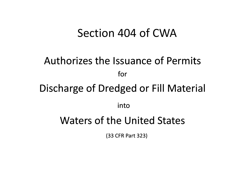## Section 404 of CWA

# Authorizes the Issuance of Permits for Discharge of Dredged or Fill Material into Waters of the United States

(33 CFR Part 323)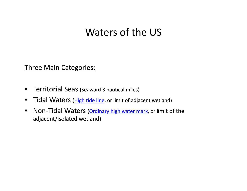## Waters of the US

Three Main Categories:

- Territorial Seas (Seaward 3 nautical miles)
- Tidal Waters (*High tide line*, or limit of adjacent wetland)
- Non-Tidal Waters (Ordinary high water mark, or limit of the adjacent/isolated wetland)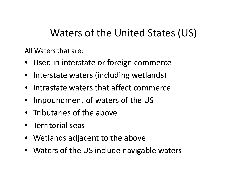## Waters of the United States (US)

All Waters that are:

- Used in interstate or foreign commerce
- Interstate waters (including wetlands)
- Intrastate waters that affect commerce
- Impoundment of waters of the US
- Tributaries of the above
- $\bullet$  Territorial seas
- Wetlands adjacent to the above
- Waters of the US include navigable waters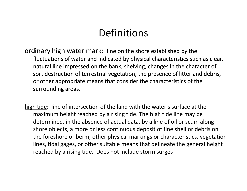## **Definitions**

- ordinary high water mark: line on the shore established by the fluctuations of water and indicated by physical characteristics such as clear, natural line impressed on the bank, shelving, changes in the character of soil, destruction of terrestrial vegetation, the presence of litter and debris, or other appropriate means that consider the characteristics of the surrounding areas.
- high tide: line of intersection of the land with the water's surface at the maximum height reached by a rising tide. The high tide line may be determined, in the absence of actual data, by a line of oil or scum along shore objects, a more or less continuous deposit of fine shell or debris on the foreshore or berm, other physical markings or characteristics, vegetation lines, tidal gages, or other suitable means that delineate the general height reached by a rising tide. Does not include storm surges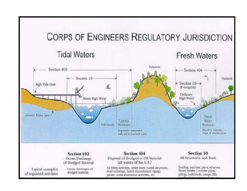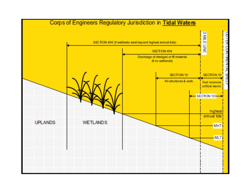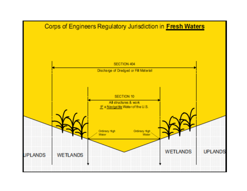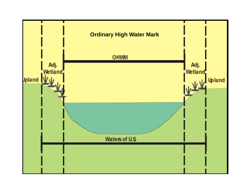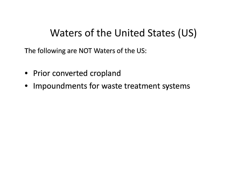## Waters of the United States (US)

The following are NOT Waters of the US:

- Prior converted cropland
- Impoundments for waste treatment systems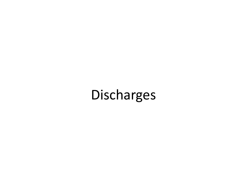# Discharges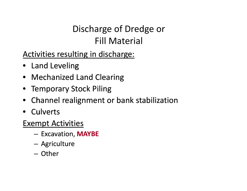## Discharge of Dredge or Fill Material

Activities resulting in discharge:

- $\bullet$  Land Leveling
- Mechanized Land Clearing
- Temporary Stock Piling
- Channel realignment or bank stabilization
- Culverts

#### **Exempt Activities**

- $-$  Excavation, **MAYBE**
- $-$  Agriculture
- Other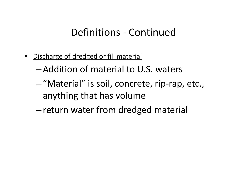## Definitions - Continued

- Discharge of dredged or fill material
	- Addition of material to U.S. waters
	- "Material" is soil, concrete, rip-rap, etc., anything that has volume
	- return water from dredged material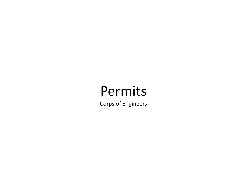## Permits

Corps of Engineers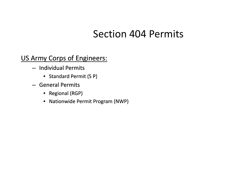## Section 404 Permits

#### US Army Corps of Engineers:

- $-$  Individual Permits
	- Standard Permit  $(S P)$
- $-$  General Permits
	- Regional (RGP)
	- Nationwide Permit Program (NWP)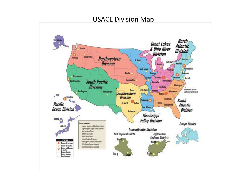#### USACE Division MapNorth. **Great Lakes** Atlantic & Ohio River Seattle **Division** Division **Northwestern**<br>Division **Welle Welle Portland Concord** St. Poul Buffalo ( New Tork **Betroit Bock Island Umaha** Socremento **Winchester** Cincinnati St. Louis **Norfolk Kansas City South Pacific** San Francisco Louisville **Division Wilmington Innocriancic Division** laha Little Rock Los Angeles **Memphis** Charleston Albuquerque and Middle East District **Southwestern** O **Division** Sevannah South **Vicksburg**  $\bullet$  biles Ft. Worth **Nobile** Pacific Jacksonville Atlantic **New Orleans Ocean Division Division Galveston Mississippi KOREA Valley Division Europe District** *<u>OTHER CONSUMERS</u>* Engineer Besearch and Development Center Engineering and Support Center, Nuntzurlle **Transatlantic Division** Army Georgetial Center **Gulf Region Districts** Afghanistan **ISO Foonce Comm** Marine Design Comer **Engineer Districts** Institute for Motor Resources Noeth LEGEND 20th Engineer Buttalian (Prime Power) North<sup>®</sup> **British IQ Lacetion** 42th Theorer Engineer Command District RI Location **Qich Theater Engineer Command O** Bistrict and Britisen Division Boundary **IRAO** South -**Butrict Boundary State Boundary**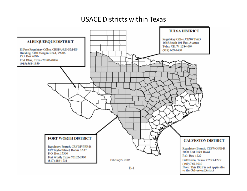#### USACE Districts within Texas

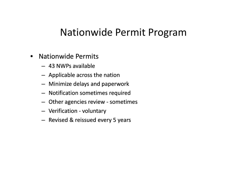#### Nationwide Permit Program

- Nationwide Permits
	- $-43$  NWPs available
	- $-$  Applicable across the nation
	- $-$  Minimize delays and paperwork
	- $-$  Notification sometimes required
	- $-$  Other agencies review sometimes
	- $-$  Verification voluntary
	- $-$  Revised & reissued every 5 years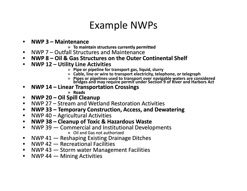## Example NWPs

- **NWP 3 Maintenance** 
	- » To maintain structures currently permitted
- NWP  $7$  Outfall Structures and Maintenance
- NWP 8 Oil & Gas Structures on the Outer Continental Shelf
- **NWP 12 Utility Line Activities**
	- » **Pipe or pipeline for transport gas, liquid, slurry**
	- » **Cable, line or wire to transport electricity, telephone, or telegraph**
	- » **Pipes or pipelines used to transport over navigable waters are considered bridges and may require permit under Section 9 of River and Harbors Act**
- **NWP 14 Linear Transportation Crossings** 
	- » **Roads**
- **NWP 20 Oil Spill Cleanup**
- NWP 27 Stream and Wetland Restoration Activities
- **NWP 33 Temporary Construction, Access, and Dewatering**
- NWP 40 Agricultural Activities
- **NWP 38 Cleanup of Toxic & Hazardous Waste**
- NWP 39  $-$  Commercial and Institutional Developments » Oil and Gas not authorized
- NWP 41  $-$  Reshaping Existing Drainage Ditches
- NWP 42  $-$  Recreational Facilities
- NWP 43  $-$  Storm water Management Facilities
- NWP 44  $-$  Mining Activities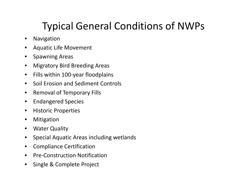## Typical General Conditions of NWPs

- Navigation
- Aquatic Life Movement
- Spawning Areas
- Migratory Bird Breeding Areas
- Fills within 100-year floodplains
- Soil Erosion and Sediment Controls
- Removal of Temporary Fills
- Endangered Species
- Historic Properties
- Mitigation
- Water Quality
- Special Aquatic Areas including wetlands
- Compliance Certification
- Pre-Construction Notification
- Single & Complete Project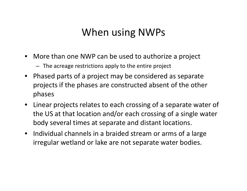## When using NWPs

- More than one NWP can be used to authorize a project
	- The acreage restrictions apply to the entire project
- Phased parts of a project may be considered as separate projects if the phases are constructed absent of the other phases
- Linear projects relates to each crossing of a separate water of the US at that location and/or each crossing of a single water body several times at separate and distant locations.
- Individual channels in a braided stream or arms of a large irregular wetland or lake are not separate water bodies.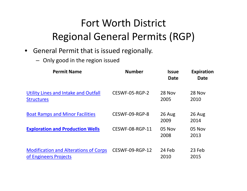## Fort Worth District Regional General Permits (RGP)

- General Permit that is issued regionally.
	- Only good in the region issued

| <b>Permit Name</b>                                                    | <b>Number</b>   | Issue<br><b>Date</b>  | Expiration<br><b>Date</b> |
|-----------------------------------------------------------------------|-----------------|-----------------------|---------------------------|
| Utility Lines and Intake and Outfall<br><b>Structures</b>             | CESWF-05-RGP-2  | <b>28 Nov</b><br>2005 | 28 Nov<br>2010            |
| <b>Boat Ramps and Minor Facilities</b>                                | CESWF-09-RGP-8  | 26 Aug<br>2009        | 26 Aug<br>2014            |
| <b>Exploration and Production Wells</b>                               | CESWF-08-RGP-11 | 05 Nov<br>2008        | 05 Nov<br>2013            |
| <b>Modification and Alterations of Corps</b><br>of Engineers Projects | CESWF-09-RGP-12 | 24 Feb<br>2010        | 23 Feb<br>2015            |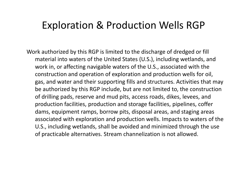## Exploration & Production Wells RGP

Work authorized by this RGP is limited to the discharge of dredged or fill material into waters of the United States (U.S.), including wetlands, and work in, or affecting navigable waters of the U.S., associated with the construction and operation of exploration and production wells for oil, gas, and water and their supporting fills and structures. Activities that may be authorized by this RGP include, but are not limited to, the construction of drilling pads, reserve and mud pits, access roads, dikes, levees, and production facilities, production and storage facilities, pipelines, coffer dams, equipment ramps, borrow pits, disposal areas, and staging areas associated with exploration and production wells. Impacts to waters of the U.S., including wetlands, shall be avoided and minimized through the use of practicable alternatives. Stream channelization is not allowed.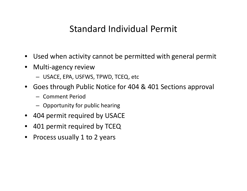#### Standard Individual Permit

- Used when activity cannot be permitted with general permit
- Multi-agency review
	- USACE, EPA, USFWS, TPWD, TCEQ, etc
- Goes through Public Notice for 404 & 401 Sections approval
	- Comment Period
	- Opportunity for public hearing
- 404 permit required by USACE
- 401 permit required by TCEQ
- Process usually 1 to 2 years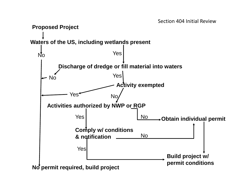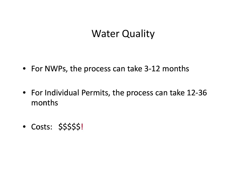## Water Quality

- For NWPs, the process can take 3-12 months
- For Individual Permits, the process can take 12-36 months
- $\bullet$  Costs:  $$$ \$\$\$\$!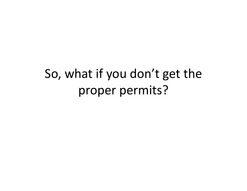So, what if you don't get the proper permits?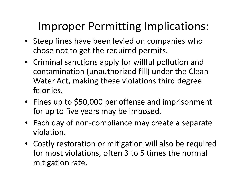## Improper Permitting Implications:

- Steep fines have been levied on companies who chose not to get the required permits.
- Criminal sanctions apply for willful pollution and contamination (unauthorized fill) under the Clean Water Act, making these violations third degree felonies.
- Fines up to \$50,000 per offense and imprisonment for up to five years may be imposed.
- Each day of non-compliance may create a separate violation.
- Costly restoration or mitigation will also be required for most violations, often 3 to 5 times the normal mitigation rate.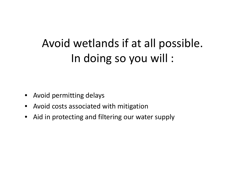## Avoid wetlands if at all possible. In doing so you will :

- Avoid permitting delays
- Avoid costs associated with mitigation
- Aid in protecting and filtering our water supply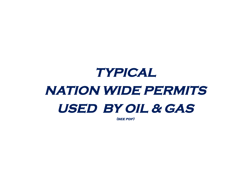# **TYPICAL NATION WIDE PERMITS USED BY OIL & GAS**

**(see pdf)**